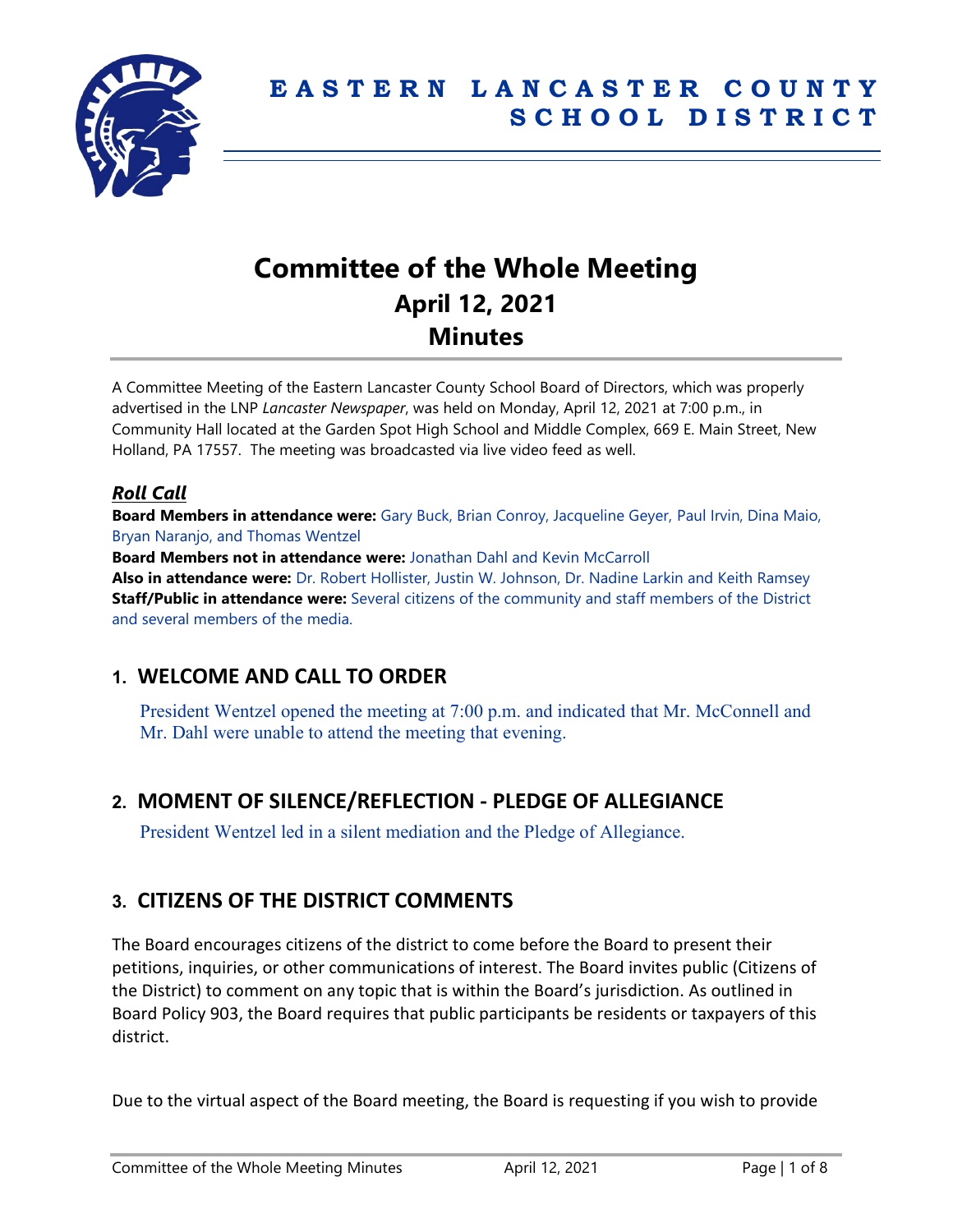

# **Committee of the Whole Meeting April 12, 2021 Minutes**

A Committee Meeting of the Eastern Lancaster County School Board of Directors, which was properly advertised in the LNP *Lancaster Newspaper*, was held on Monday, April 12, 2021 at 7:00 p.m., in Community Hall located at the Garden Spot High School and Middle Complex, 669 E. Main Street, New Holland, PA 17557. The meeting was broadcasted via live video feed as well.

# *Roll Call*

**Board Members in attendance were:** Gary Buck, Brian Conroy, Jacqueline Geyer, Paul Irvin, Dina Maio, Bryan Naranjo, and Thomas Wentzel

**Board Members not in attendance were:** Jonathan Dahl and Kevin McCarroll **Also in attendance were:** Dr. Robert Hollister, Justin W. Johnson, Dr. Nadine Larkin and Keith Ramsey **Staff/Public in attendance were:** Several citizens of the community and staff members of the District and several members of the media.

# **1. WELCOME AND CALL TO ORDER**

President Wentzel opened the meeting at 7:00 p.m. and indicated that Mr. McConnell and Mr. Dahl were unable to attend the meeting that evening.

# **2. MOMENT OF SILENCE/REFLECTION - PLEDGE OF ALLEGIANCE**

President Wentzel led in a silent mediation and the Pledge of Allegiance.

# **3. CITIZENS OF THE DISTRICT COMMENTS**

The Board encourages citizens of the district to come before the Board to present their petitions, inquiries, or other communications of interest. The Board invites public (Citizens of the District) to comment on any topic that is within the Board's jurisdiction. As outlined in Board Policy 903, the Board requires that public participants be residents or taxpayers of this district.

Due to the virtual aspect of the Board meeting, the Board is requesting if you wish to provide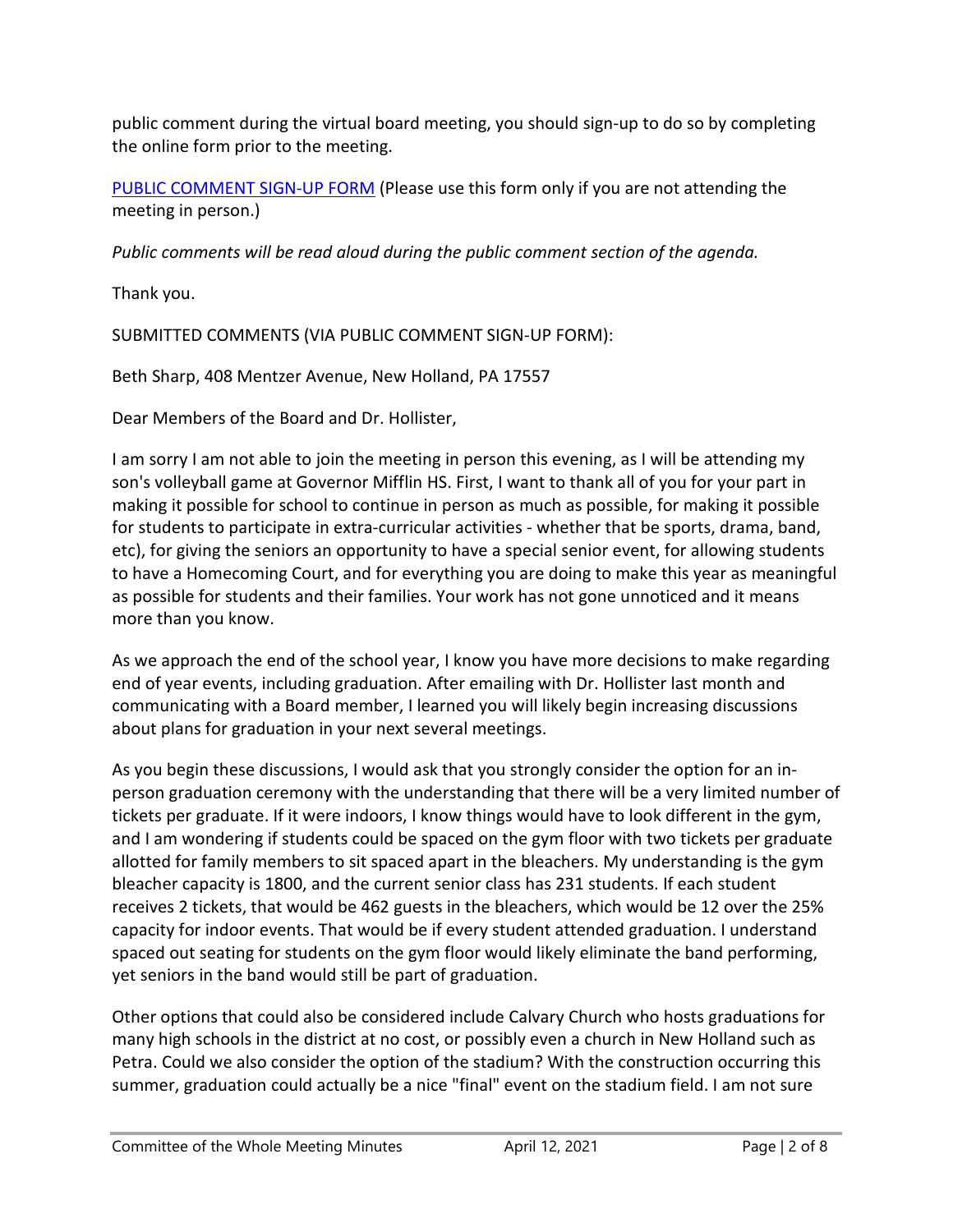public comment during the virtual board meeting, you should sign-up to do so by completing the online form prior to the meeting.

[PUBLIC COMMENT SIGN-UP FORM](https://forms.gle/zDXXoX8rZQUxt1Ap6) (Please use this form only if you are not attending the meeting in person.)

*Public comments will be read aloud during the public comment section of the agenda.*

Thank you.

SUBMITTED COMMENTS (VIA PUBLIC COMMENT SIGN-UP FORM):

Beth Sharp, 408 Mentzer Avenue, New Holland, PA 17557

Dear Members of the Board and Dr. Hollister,

I am sorry I am not able to join the meeting in person this evening, as I will be attending my son's volleyball game at Governor Mifflin HS. First, I want to thank all of you for your part in making it possible for school to continue in person as much as possible, for making it possible for students to participate in extra-curricular activities - whether that be sports, drama, band, etc), for giving the seniors an opportunity to have a special senior event, for allowing students to have a Homecoming Court, and for everything you are doing to make this year as meaningful as possible for students and their families. Your work has not gone unnoticed and it means more than you know.

As we approach the end of the school year, I know you have more decisions to make regarding end of year events, including graduation. After emailing with Dr. Hollister last month and communicating with a Board member, I learned you will likely begin increasing discussions about plans for graduation in your next several meetings.

As you begin these discussions, I would ask that you strongly consider the option for an inperson graduation ceremony with the understanding that there will be a very limited number of tickets per graduate. If it were indoors, I know things would have to look different in the gym, and I am wondering if students could be spaced on the gym floor with two tickets per graduate allotted for family members to sit spaced apart in the bleachers. My understanding is the gym bleacher capacity is 1800, and the current senior class has 231 students. If each student receives 2 tickets, that would be 462 guests in the bleachers, which would be 12 over the 25% capacity for indoor events. That would be if every student attended graduation. I understand spaced out seating for students on the gym floor would likely eliminate the band performing, yet seniors in the band would still be part of graduation.

Other options that could also be considered include Calvary Church who hosts graduations for many high schools in the district at no cost, or possibly even a church in New Holland such as Petra. Could we also consider the option of the stadium? With the construction occurring this summer, graduation could actually be a nice "final" event on the stadium field. I am not sure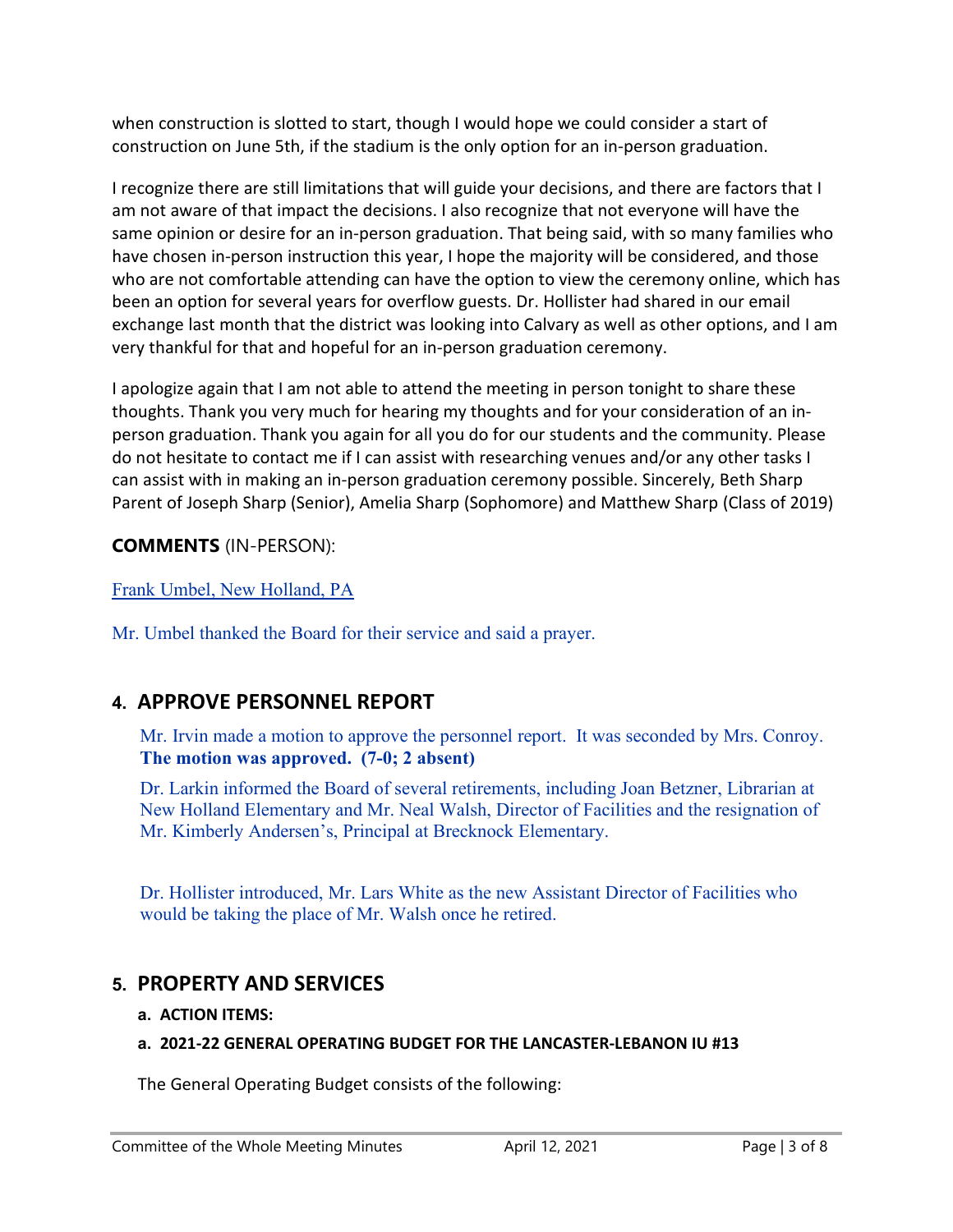when construction is slotted to start, though I would hope we could consider a start of construction on June 5th, if the stadium is the only option for an in-person graduation.

I recognize there are still limitations that will guide your decisions, and there are factors that I am not aware of that impact the decisions. I also recognize that not everyone will have the same opinion or desire for an in-person graduation. That being said, with so many families who have chosen in-person instruction this year, I hope the majority will be considered, and those who are not comfortable attending can have the option to view the ceremony online, which has been an option for several years for overflow guests. Dr. Hollister had shared in our email exchange last month that the district was looking into Calvary as well as other options, and I am very thankful for that and hopeful for an in-person graduation ceremony.

I apologize again that I am not able to attend the meeting in person tonight to share these thoughts. Thank you very much for hearing my thoughts and for your consideration of an inperson graduation. Thank you again for all you do for our students and the community. Please do not hesitate to contact me if I can assist with researching venues and/or any other tasks I can assist with in making an in-person graduation ceremony possible. Sincerely, Beth Sharp Parent of Joseph Sharp (Senior), Amelia Sharp (Sophomore) and Matthew Sharp (Class of 2019)

#### **COMMENTS** (IN-PERSON):

# Frank Umbel, New Holland, PA

Mr. Umbel thanked the Board for their service and said a prayer.

# **4. APPROVE PERSONNEL REPORT**

Mr. Irvin made a motion to approve the personnel report. It was seconded by Mrs. Conroy. **The motion was approved. (7-0; 2 absent)**

Dr. Larkin informed the Board of several retirements, including Joan Betzner, Librarian at New Holland Elementary and Mr. Neal Walsh, Director of Facilities and the resignation of Mr. Kimberly Andersen's, Principal at Brecknock Elementary.

Dr. Hollister introduced, Mr. Lars White as the new Assistant Director of Facilities who would be taking the place of Mr. Walsh once he retired.

# **5. PROPERTY AND SERVICES**

#### **a. ACTION ITEMS:**

#### **a. 2021-22 GENERAL OPERATING BUDGET FOR THE LANCASTER-LEBANON IU #13**

The General Operating Budget consists of the following: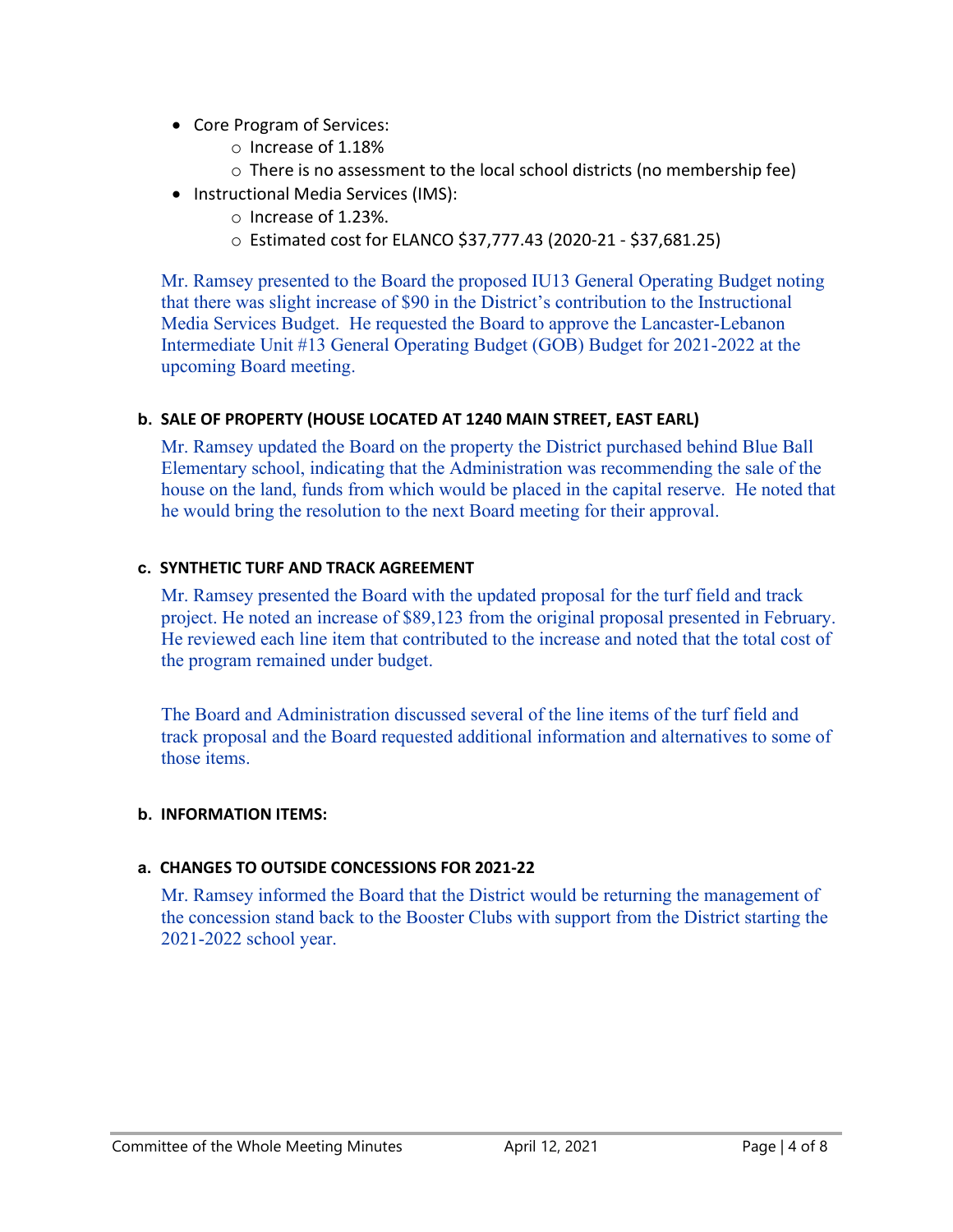- Core Program of Services:
	- o Increase of 1.18%
	- o There is no assessment to the local school districts (no membership fee)
- Instructional Media Services (IMS):
	- o Increase of 1.23%.
	- o Estimated cost for ELANCO \$37,777.43 (2020-21 \$37,681.25)

Mr. Ramsey presented to the Board the proposed IU13 General Operating Budget noting that there was slight increase of \$90 in the District's contribution to the Instructional Media Services Budget. He requested the Board to approve the Lancaster-Lebanon Intermediate Unit #13 General Operating Budget (GOB) Budget for 2021-2022 at the upcoming Board meeting.

#### **b. SALE OF PROPERTY (HOUSE LOCATED AT 1240 MAIN STREET, EAST EARL)**

Mr. Ramsey updated the Board on the property the District purchased behind Blue Ball Elementary school, indicating that the Administration was recommending the sale of the house on the land, funds from which would be placed in the capital reserve. He noted that he would bring the resolution to the next Board meeting for their approval.

#### **c. SYNTHETIC TURF AND TRACK AGREEMENT**

Mr. Ramsey presented the Board with the updated proposal for the turf field and track project. He noted an increase of \$89,123 from the original proposal presented in February. He reviewed each line item that contributed to the increase and noted that the total cost of the program remained under budget.

The Board and Administration discussed several of the line items of the turf field and track proposal and the Board requested additional information and alternatives to some of those items.

#### **b. INFORMATION ITEMS:**

#### **a. CHANGES TO OUTSIDE CONCESSIONS FOR 2021-22**

Mr. Ramsey informed the Board that the District would be returning the management of the concession stand back to the Booster Clubs with support from the District starting the 2021-2022 school year.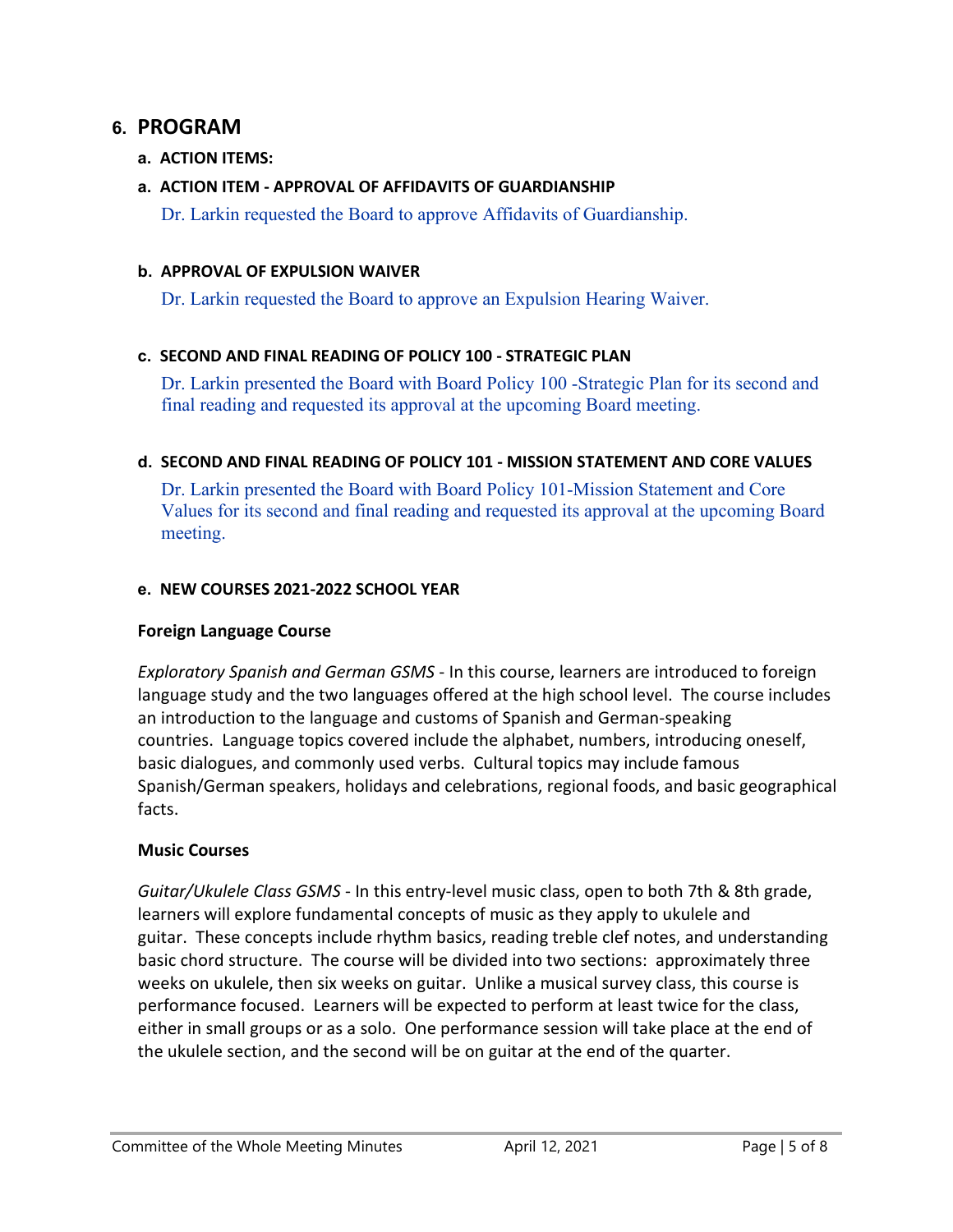# **6. PROGRAM**

#### **a. ACTION ITEMS:**

#### **a. ACTION ITEM - APPROVAL OF AFFIDAVITS OF GUARDIANSHIP**

Dr. Larkin requested the Board to approve Affidavits of Guardianship.

#### **b. APPROVAL OF EXPULSION WAIVER**

Dr. Larkin requested the Board to approve an Expulsion Hearing Waiver.

#### **c. SECOND AND FINAL READING OF POLICY 100 - STRATEGIC PLAN**

Dr. Larkin presented the Board with Board Policy 100 -Strategic Plan for its second and final reading and requested its approval at the upcoming Board meeting.

#### **d. SECOND AND FINAL READING OF POLICY 101 - MISSION STATEMENT AND CORE VALUES**

Dr. Larkin presented the Board with Board Policy 101-Mission Statement and Core Values for its second and final reading and requested its approval at the upcoming Board meeting.

#### **e. NEW COURSES 2021-2022 SCHOOL YEAR**

#### **Foreign Language Course**

*Exploratory Spanish and German GSMS* - In this course, learners are introduced to foreign language study and the two languages offered at the high school level. The course includes an introduction to the language and customs of Spanish and German-speaking countries. Language topics covered include the alphabet, numbers, introducing oneself, basic dialogues, and commonly used verbs. Cultural topics may include famous Spanish/German speakers, holidays and celebrations, regional foods, and basic geographical facts.

#### **Music Courses**

*Guitar/Ukulele Class GSMS* - In this entry-level music class, open to both 7th & 8th grade, learners will explore fundamental concepts of music as they apply to ukulele and guitar. These concepts include rhythm basics, reading treble clef notes, and understanding basic chord structure. The course will be divided into two sections: approximately three weeks on ukulele, then six weeks on guitar. Unlike a musical survey class, this course is performance focused. Learners will be expected to perform at least twice for the class, either in small groups or as a solo. One performance session will take place at the end of the ukulele section, and the second will be on guitar at the end of the quarter.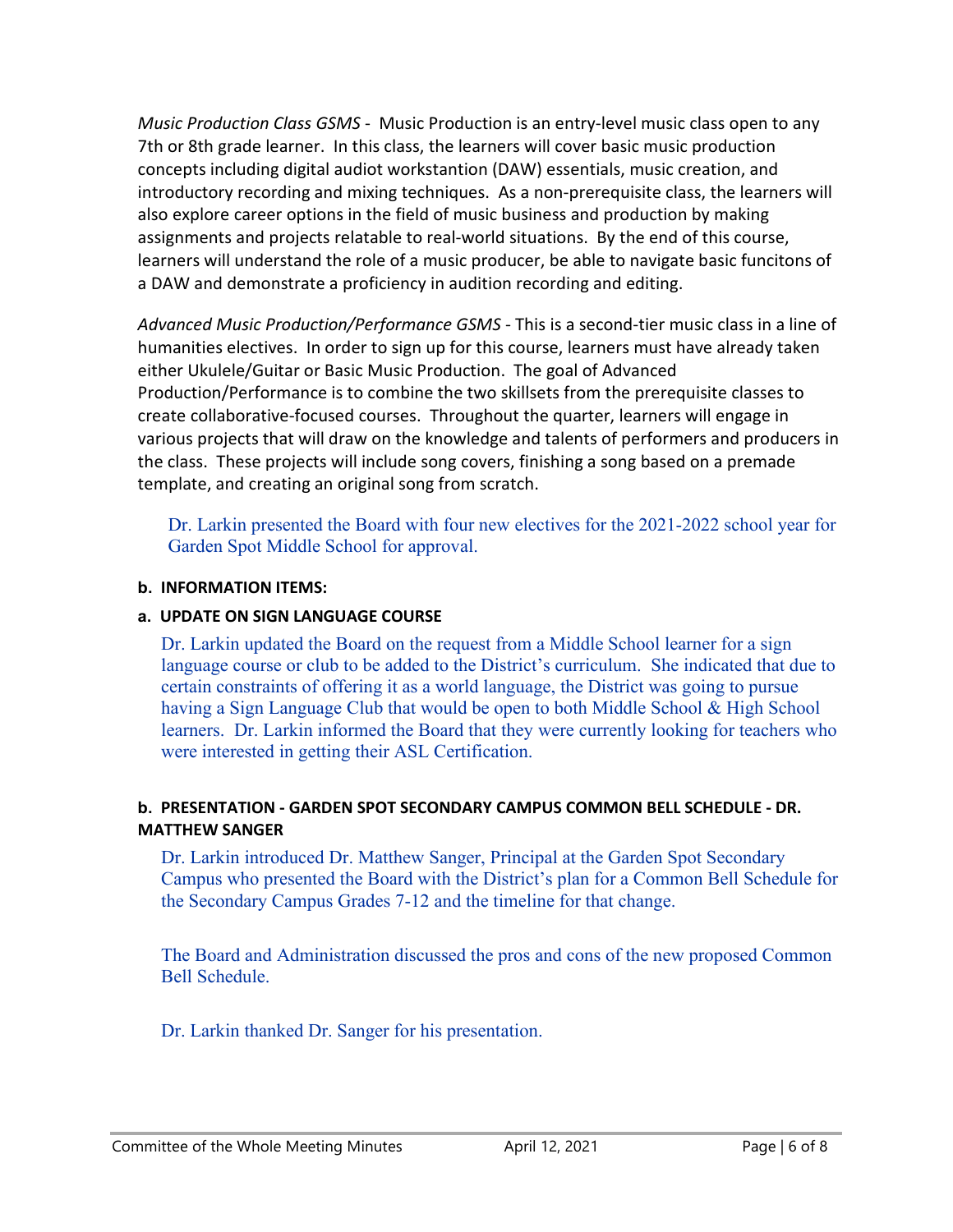*Music Production Class GSMS* - Music Production is an entry-level music class open to any 7th or 8th grade learner. In this class, the learners will cover basic music production concepts including digital audiot workstantion (DAW) essentials, music creation, and introductory recording and mixing techniques. As a non-prerequisite class, the learners will also explore career options in the field of music business and production by making assignments and projects relatable to real-world situations. By the end of this course, learners will understand the role of a music producer, be able to navigate basic funcitons of a DAW and demonstrate a proficiency in audition recording and editing.

*Advanced Music Production/Performance GSMS* - This is a second-tier music class in a line of humanities electives. In order to sign up for this course, learners must have already taken either Ukulele/Guitar or Basic Music Production. The goal of Advanced Production/Performance is to combine the two skillsets from the prerequisite classes to create collaborative-focused courses. Throughout the quarter, learners will engage in various projects that will draw on the knowledge and talents of performers and producers in the class. These projects will include song covers, finishing a song based on a premade template, and creating an original song from scratch.

Dr. Larkin presented the Board with four new electives for the 2021-2022 school year for Garden Spot Middle School for approval.

#### **b. INFORMATION ITEMS:**

#### **a. UPDATE ON SIGN LANGUAGE COURSE**

Dr. Larkin updated the Board on the request from a Middle School learner for a sign language course or club to be added to the District's curriculum. She indicated that due to certain constraints of offering it as a world language, the District was going to pursue having a Sign Language Club that would be open to both Middle School & High School learners. Dr. Larkin informed the Board that they were currently looking for teachers who were interested in getting their ASL Certification.

#### **b. PRESENTATION - GARDEN SPOT SECONDARY CAMPUS COMMON BELL SCHEDULE - DR. MATTHEW SANGER**

Dr. Larkin introduced Dr. Matthew Sanger, Principal at the Garden Spot Secondary Campus who presented the Board with the District's plan for a Common Bell Schedule for the Secondary Campus Grades 7-12 and the timeline for that change.

The Board and Administration discussed the pros and cons of the new proposed Common Bell Schedule.

Dr. Larkin thanked Dr. Sanger for his presentation.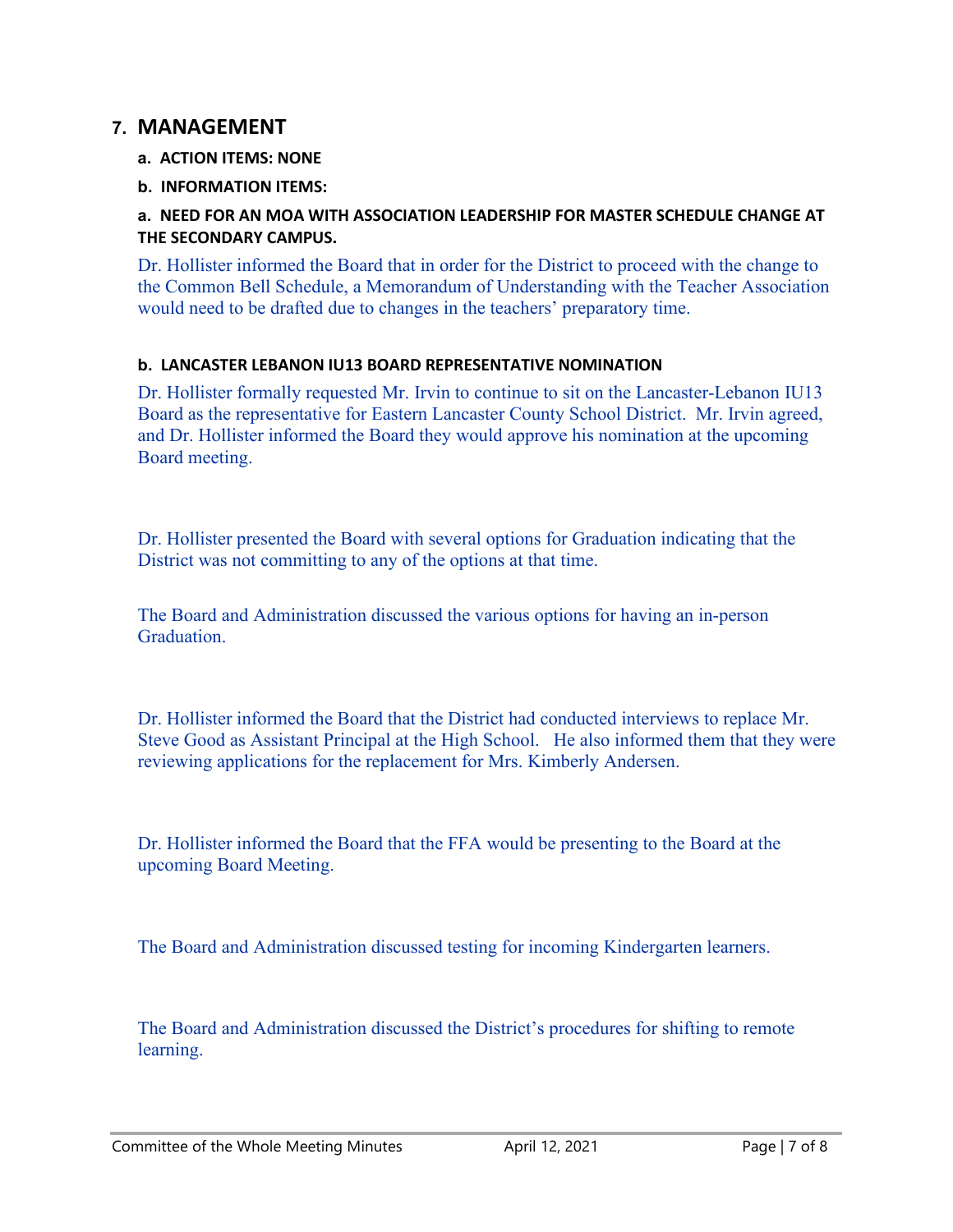# **7. MANAGEMENT**

- **a. ACTION ITEMS: NONE**
- **b. INFORMATION ITEMS:**

#### **a. NEED FOR AN MOA WITH ASSOCIATION LEADERSHIP FOR MASTER SCHEDULE CHANGE AT THE SECONDARY CAMPUS.**

Dr. Hollister informed the Board that in order for the District to proceed with the change to the Common Bell Schedule, a Memorandum of Understanding with the Teacher Association would need to be drafted due to changes in the teachers' preparatory time.

#### **b. LANCASTER LEBANON IU13 BOARD REPRESENTATIVE NOMINATION**

Dr. Hollister formally requested Mr. Irvin to continue to sit on the Lancaster-Lebanon IU13 Board as the representative for Eastern Lancaster County School District. Mr. Irvin agreed, and Dr. Hollister informed the Board they would approve his nomination at the upcoming Board meeting.

Dr. Hollister presented the Board with several options for Graduation indicating that the District was not committing to any of the options at that time.

The Board and Administration discussed the various options for having an in-person Graduation.

Dr. Hollister informed the Board that the District had conducted interviews to replace Mr. Steve Good as Assistant Principal at the High School. He also informed them that they were reviewing applications for the replacement for Mrs. Kimberly Andersen.

Dr. Hollister informed the Board that the FFA would be presenting to the Board at the upcoming Board Meeting.

The Board and Administration discussed testing for incoming Kindergarten learners.

The Board and Administration discussed the District's procedures for shifting to remote learning.